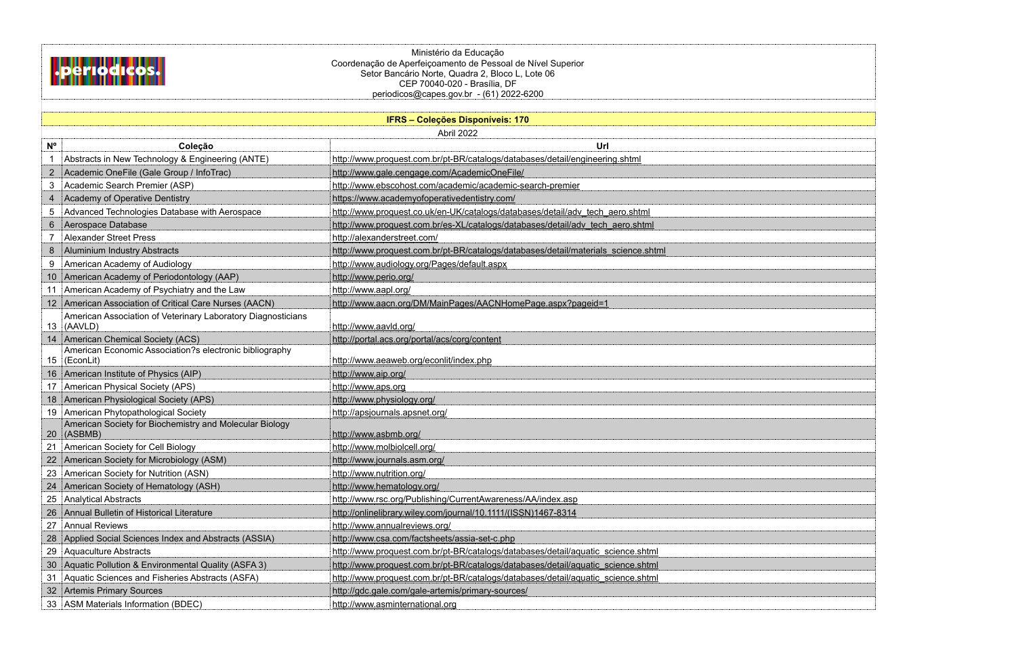

Ministério da Educação Coordenação de Aperfeiçoamento de Pessoal de Nível Superior Setor Bancário Norte, Quadra 2, Bloco L, Lote 06 CEP 70040-020 - Brasília, DF periodicos@capes.gov.br - (61) 2022-6200

|                | <b>IFRS - Coleções Disponíveis: 170</b>                                 |                                                                                    |  |  |
|----------------|-------------------------------------------------------------------------|------------------------------------------------------------------------------------|--|--|
|                |                                                                         | Abril 2022                                                                         |  |  |
| $N^{\circ}$    | Coleção                                                                 | Url                                                                                |  |  |
|                | Abstracts in New Technology & Engineering (ANTE)                        | http://www.proquest.com.br/pt-BR/catalogs/databases/detail/engineering.shtml       |  |  |
| $\overline{2}$ | Academic OneFile (Gale Group / InfoTrac)                                | http://www.gale.cengage.com/AcademicOneFile/                                       |  |  |
| 3              | Academic Search Premier (ASP)                                           | http://www.ebscohost.com/academic/academic-search-premier                          |  |  |
|                | <b>Academy of Operative Dentistry</b>                                   | https://www.academyofoperativedentistry.com/                                       |  |  |
| 5              | Advanced Technologies Database with Aerospace                           | http://www.proquest.co.uk/en-UK/catalogs/databases/detail/adv tech aero.shtml      |  |  |
| 6              | Aerospace Database                                                      | http://www.proquest.com.br/es-XL/catalogs/databases/detail/adv_tech_aero.shtml     |  |  |
|                | <b>Alexander Street Press</b>                                           | http://alexanderstreet.com/                                                        |  |  |
| 8              | <b>Aluminium Industry Abstracts</b>                                     | http://www.proquest.com.br/pt-BR/catalogs/databases/detail/materials_science.shtml |  |  |
| 9              | American Academy of Audiology                                           | http://www.audiology.org/Pages/default.aspx                                        |  |  |
| 10             | American Academy of Periodontology (AAP)                                | http://www.perio.org/                                                              |  |  |
|                | American Academy of Psychiatry and the Law                              | http://www.aapl.org/                                                               |  |  |
| 12             | American Association of Critical Care Nurses (AACN)                     | http://www.aacn.org/DM/MainPages/AACNHomePage.aspx?pageid=1                        |  |  |
| 13             | American Association of Veterinary Laboratory Diagnosticians<br>(AAVLD) | http://www.aavld.org/                                                              |  |  |
|                | American Chemical Society (ACS)                                         | http://portal.acs.org/portal/acs/corg/content                                      |  |  |
| 15             | American Economic Association?s electronic bibliography<br>(EconLit)    | http://www.aeaweb.org/econlit/index.php                                            |  |  |
| 16             | American Institute of Physics (AIP)                                     | http://www.aip.org/                                                                |  |  |
|                | American Physical Society (APS)                                         | http://www.aps.org                                                                 |  |  |
|                | American Physiological Society (APS)                                    | http://www.physiology.org/                                                         |  |  |
| 19             | American Phytopathological Society                                      | http://apsjournals.apsnet.org/                                                     |  |  |
| 20             | American Society for Biochemistry and Molecular Biology<br>(ASBMB)      | http://www.asbmb.org/                                                              |  |  |
| 21             | American Society for Cell Biology                                       | http://www.molbiolcell.org/                                                        |  |  |
| 22             | American Society for Microbiology (ASM)                                 | http://www.journals.asm.org/                                                       |  |  |
| 23             | American Society for Nutrition (ASN)                                    | http://www.nutrition.org/                                                          |  |  |
|                | American Society of Hematology (ASH)                                    | http://www.hematology.org/                                                         |  |  |
| 25             | <b>Analytical Abstracts</b>                                             | http://www.rsc.org/Publishing/CurrentAwareness/AA/index.asp                        |  |  |
| 26             | Annual Bulletin of Historical Literature                                | http://onlinelibrary.wiley.com/journal/10.1111/(ISSN)1467-8314                     |  |  |
| 27             | <b>Annual Reviews</b>                                                   | http://www.annualreviews.org/                                                      |  |  |
| 28             | Applied Social Sciences Index and Abstracts (ASSIA)                     | http://www.csa.com/factsheets/assia-set-c.php                                      |  |  |
| 29             | <b>Aquaculture Abstracts</b>                                            | http://www.proquest.com.br/pt-BR/catalogs/databases/detail/aquatic_science.shtml   |  |  |
| 30             | Aquatic Pollution & Environmental Quality (ASFA 3)                      | http://www.proquest.com.br/pt-BR/catalogs/databases/detail/aquatic_science.shtml   |  |  |
| 31             | Aquatic Sciences and Fisheries Abstracts (ASFA)                         | http://www.proquest.com.br/pt-BR/catalogs/databases/detail/aquatic_science.shtml   |  |  |
| 32             | <b>Artemis Primary Sources</b>                                          | http://gdc.gale.com/gale-artemis/primary-sources/                                  |  |  |
| 33             | <b>ASM Materials Information (BDEC)</b>                                 | http://www.asminternational.org                                                    |  |  |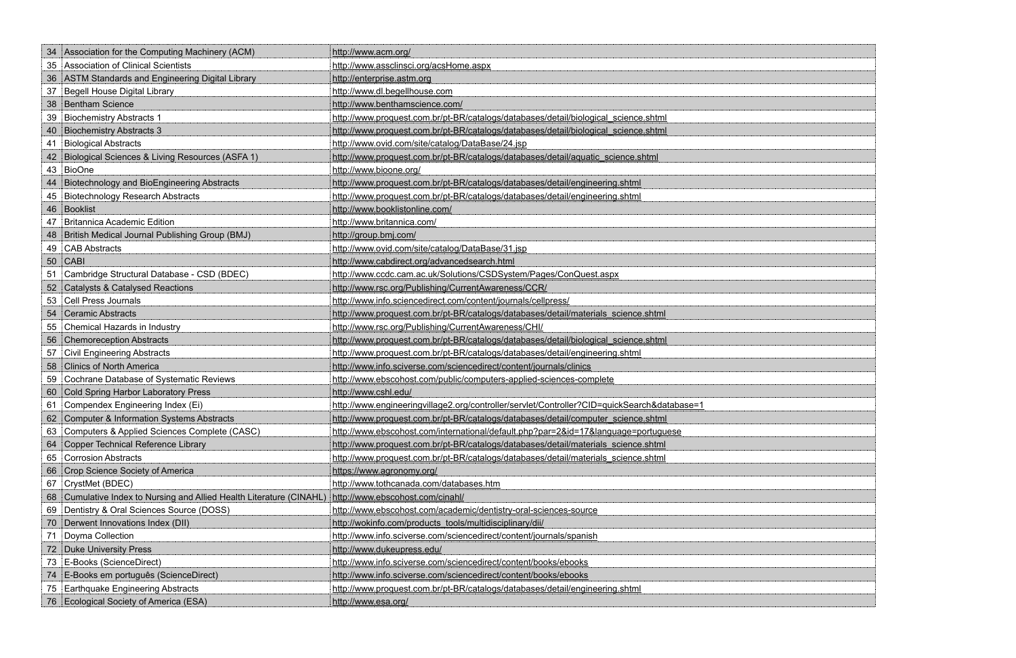| 34 | Association for the Computing Machinery (ACM)                     | http://www.acm.org/                                                                         |
|----|-------------------------------------------------------------------|---------------------------------------------------------------------------------------------|
| 35 | Association of Clinical Scientists                                | http://www.assclinsci.org/acsHome.aspx                                                      |
| 36 | <b>ASTM Standards and Engineering Digital Library</b>             | http://enterprise.astm.org                                                                  |
| 37 | <b>Begell House Digital Library</b>                               | http://www.dl.begellhouse.com                                                               |
| 38 | <b>Bentham Science</b>                                            | http://www.benthamscience.com/                                                              |
| 39 | <b>Biochemistry Abstracts 1</b>                                   | http://www.proquest.com.br/pt-BR/catalogs/databases/detail/biological_science.shtml         |
| 40 | <b>Biochemistry Abstracts 3</b>                                   | http://www.proquest.com.br/pt-BR/catalogs/databases/detail/biological science.shtml         |
| 41 | <b>Biological Abstracts</b>                                       | http://www.ovid.com/site/catalog/DataBase/24.jsp                                            |
| 42 | Biological Sciences & Living Resources (ASFA 1)                   | http://www.proquest.com.br/pt-BR/catalogs/databases/detail/aquatic_science.shtml            |
| 43 | BioOne                                                            | http://www.bioone.org/                                                                      |
| 44 | Biotechnology and BioEngineering Abstracts                        | http://www.proquest.com.br/pt-BR/catalogs/databases/detail/engineering.shtml                |
| 45 | <b>Biotechnology Research Abstracts</b>                           | http://www.proquest.com.br/pt-BR/catalogs/databases/detail/engineering.shtml                |
| 46 | Booklist                                                          | http://www.booklistonline.com/                                                              |
| 47 | <b>Britannica Academic Edition</b>                                | http://www.britannica.com/                                                                  |
| 48 | British Medical Journal Publishing Group (BMJ)                    | http://group.bmj.com/                                                                       |
| 49 | CAB Abstracts                                                     | http://www.ovid.com/site/catalog/DataBase/31.jsp                                            |
| 50 | <b>CABI</b>                                                       | http://www.cabdirect.org/advancedsearch.html                                                |
| 51 | Cambridge Structural Database - CSD (BDEC)                        | http://www.ccdc.cam.ac.uk/Solutions/CSDSystem/Pages/ConQuest.aspx                           |
| 52 | <b>Catalysts &amp; Catalysed Reactions</b>                        | http://www.rsc.org/Publishing/CurrentAwareness/CCR/                                         |
| 53 | <b>Cell Press Journals</b>                                        | http://www.info.sciencedirect.com/content/journals/cellpress/                               |
| 54 | <b>Ceramic Abstracts</b>                                          | http://www.proquest.com.br/pt-BR/catalogs/databases/detail/materials_science.shtml          |
| 55 | Chemical Hazards in Industry                                      | http://www.rsc.org/Publishing/CurrentAwareness/CHI/                                         |
| 56 | <b>Chemoreception Abstracts</b>                                   | http://www.proquest.com.br/pt-BR/catalogs/databases/detail/biological_science.shtml         |
| 57 | <b>Civil Engineering Abstracts</b>                                | http://www.proquest.com.br/pt-BR/catalogs/databases/detail/engineering.shtml                |
| 58 | <b>Clinics of North America</b>                                   | http://www.info.sciverse.com/sciencedirect/content/journals/clinics                         |
| 59 | Cochrane Database of Systematic Reviews                           | http://www.ebscohost.com/public/computers-applied-sciences-complete                         |
| 60 | <b>Cold Spring Harbor Laboratory Press</b>                        | http://www.cshl.edu/                                                                        |
| 61 | Compendex Engineering Index (Ei)                                  | http://www.engineeringvillage2.org/controller/servlet/Controller?CID=quickSearch&database=1 |
| 62 | <b>Computer &amp; Information Systems Abstracts</b>               | http://www.proquest.com.br/pt-BR/catalogs/databases/detail/computer_science.shtml           |
| 63 | Computers & Applied Sciences Complete (CASC)                      | http://www.ebscohost.com/international/default.php?par=2&id=17&language=portuguese          |
| 64 | <b>Copper Technical Reference Library</b>                         | http://www.proquest.com.br/pt-BR/catalogs/databases/detail/materials_science.shtml          |
| 65 | <b>Corrosion Abstracts</b>                                        | http://www.proquest.com.br/pt-BR/catalogs/databases/detail/materials_science.shtml          |
| 66 | Crop Science Society of America                                   | https://www.agronomy.org/                                                                   |
| 67 | CrystMet (BDEC)                                                   | http://www.tothcanada.com/databases.htm                                                     |
| 68 | Cumulative Index to Nursing and Allied Health Literature (CINAHL) | http://www.ebscohost.com/cinahl/                                                            |
| 69 | Dentistry & Oral Sciences Source (DOSS)                           | http://www.ebscohost.com/academic/dentistry-oral-sciences-source                            |
| 70 | Derwent Innovations Index (DII)                                   | http://wokinfo.com/products_tools/multidisciplinary/dii/                                    |
| 71 | Doyma Collection                                                  | http://www.info.sciverse.com/sciencedirect/content/journals/spanish                         |
| 72 | <b>Duke University Press</b>                                      | http://www.dukeupress.edu/                                                                  |
| 73 | E-Books (ScienceDirect)                                           | http://www.info.sciverse.com/sciencedirect/content/books/ebooks                             |
| 74 | E-Books em português (ScienceDirect)                              | http://www.info.sciverse.com/sciencedirect/content/books/ebooks                             |
| 75 | <b>Earthquake Engineering Abstracts</b>                           | http://www.proquest.com.br/pt-BR/catalogs/databases/detail/engineering.shtml                |
| 76 | Ecological Society of America (ESA)                               | http://www.esa.org/                                                                         |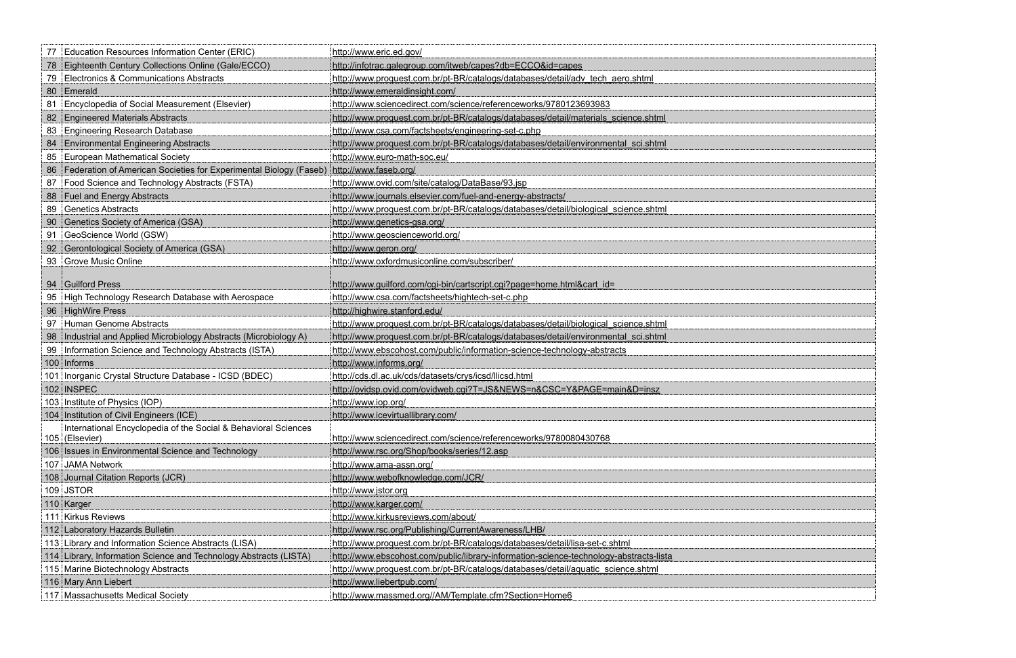| Education Resources Information Center (ERIC)<br>77                              | http://www.eric.ed.gov/                                                                |
|----------------------------------------------------------------------------------|----------------------------------------------------------------------------------------|
| Eighteenth Century Collections Online (Gale/ECCO)<br>78                          | http://infotrac.galegroup.com/itweb/capes?db=ECCO&id=capes                             |
| Electronics & Communications Abstracts<br>79                                     | http://www.proquest.com.br/pt-BR/catalogs/databases/detail/adv_tech_aero.shtml         |
| Emerald<br>80                                                                    | http://www.emeraldinsight.com/                                                         |
| Encyclopedia of Social Measurement (Elsevier)<br>81                              | http://www.sciencedirect.com/science/referenceworks/9780123693983                      |
| <b>Engineered Materials Abstracts</b><br>82                                      | http://www.proquest.com.br/pt-BR/catalogs/databases/detail/materials_science.shtml     |
| <b>Engineering Research Database</b><br>83                                       | http://www.csa.com/factsheets/engineering-set-c.php                                    |
| <b>Environmental Engineering Abstracts</b><br>84                                 | http://www.proquest.com.br/pt-BR/catalogs/databases/detail/environmental_sci.shtml     |
| European Mathematical Society<br>85                                              | http://www.euro-math-soc.eu/                                                           |
| Federation of American Societies for Experimental Biology (Faseb)<br>86          | http://www.faseb.org/                                                                  |
| Food Science and Technology Abstracts (FSTA)<br>87                               | http://www.ovid.com/site/catalog/DataBase/93.jsp                                       |
| Fuel and Energy Abstracts<br>88                                                  | http://www.journals.elsevier.com/fuel-and-energy-abstracts/                            |
| <b>Genetics Abstracts</b><br>89                                                  | http://www.proquest.com.br/pt-BR/catalogs/databases/detail/biological science.shtml    |
| Genetics Society of America (GSA)<br>90                                          | http://www.genetics-gsa.org/                                                           |
| GeoScience World (GSW)<br>91                                                     | http://www.geoscienceworld.org/                                                        |
| Gerontological Society of America (GSA)<br>92                                    | http://www.geron.org/                                                                  |
| <b>Grove Music Online</b><br>93                                                  | http://www.oxfordmusiconline.com/subscriber/                                           |
|                                                                                  |                                                                                        |
| Guilford Press<br>94                                                             | http://www.guilford.com/cgi-bin/cartscript.cgi?page=home.html&cart_id=                 |
| High Technology Research Database with Aerospace<br>95                           | http://www.csa.com/factsheets/hightech-set-c.php                                       |
| HighWire Press<br>96                                                             | http://highwire.stanford.edu/                                                          |
| <b>Human Genome Abstracts</b><br>97                                              | http://www.proquest.com.br/pt-BR/catalogs/databases/detail/biological science.shtml    |
| Industrial and Applied Microbiology Abstracts (Microbiology A)<br>98             | http://www.proquest.com.br/pt-BR/catalogs/databases/detail/environmental_sci.shtml     |
| Information Science and Technology Abstracts (ISTA)<br>99                        | http://www.ebscohost.com/public/information-science-technology-abstracts               |
| 100 Informs                                                                      | http://www.informs.org/                                                                |
| 101 Inorganic Crystal Structure Database - ICSD (BDEC)                           | http://cds.dl.ac.uk/cds/datasets/crys/icsd/llicsd.html                                 |
| 102 INSPEC                                                                       | http://ovidsp.ovid.com/ovidweb.cgi?T=JS&NEWS=n&CSC=Y&PAGE=main&D=insz                  |
| 103 Institute of Physics (IOP)                                                   | http://www.iop.org/                                                                    |
| 104 Institution of Civil Engineers (ICE)                                         | http://www.icevirtuallibrary.com/                                                      |
| International Encyclopedia of the Social & Behavioral Sciences<br>105 (Elsevier) | http://www.sciencedirect.com/science/referenceworks/9780080430768                      |
| 106 Issues in Environmental Science and Technology                               | http://www.rsc.org/Shop/books/series/12.asp                                            |
| 107 JAMA Network                                                                 | http://www.ama-assn.org/                                                               |
| 108 Journal Citation Reports (JCR)                                               | http://www.webofknowledge.com/JCR/                                                     |
| 109 JSTOR                                                                        | http://www.jstor.org                                                                   |
| 110 Karger                                                                       | http://www.karger.com/                                                                 |
| 111 Kirkus Reviews                                                               | http://www.kirkusreviews.com/about/                                                    |
| 112 Laboratory Hazards Bulletin                                                  | http://www.rsc.org/Publishing/CurrentAwareness/LHB/                                    |
| 113 Library and Information Science Abstracts (LISA)                             | http://www.proquest.com.br/pt-BR/catalogs/databases/detail/lisa-set-c.shtml            |
| 114 Library, Information Science and Technology Abstracts (LISTA)                | http://www.ebscohost.com/public/library-information-science-technology-abstracts-lista |
| 115 Marine Biotechnology Abstracts                                               | http://www.proquest.com.br/pt-BR/catalogs/databases/detail/aquatic_science.shtml       |
| 116 Mary Ann Liebert                                                             | http://www.liebertpub.com/                                                             |
| 117 Massachusetts Medical Society                                                | http://www.massmed.org//AM/Template.cfm?Section=Home6                                  |

| I         |     |
|-----------|-----|
|           |     |
|           |     |
|           |     |
|           |     |
|           |     |
|           |     |
|           |     |
|           |     |
|           |     |
| ļ         |     |
|           |     |
|           |     |
|           |     |
|           |     |
|           |     |
|           |     |
|           |     |
|           |     |
|           | J   |
|           |     |
|           |     |
|           | 4   |
|           | J.  |
|           | --  |
|           | 4   |
|           | ⊣   |
|           | 4   |
|           | 4   |
| <u>ta</u> | --- |
|           |     |
|           | 4   |
|           | 4   |
|           |     |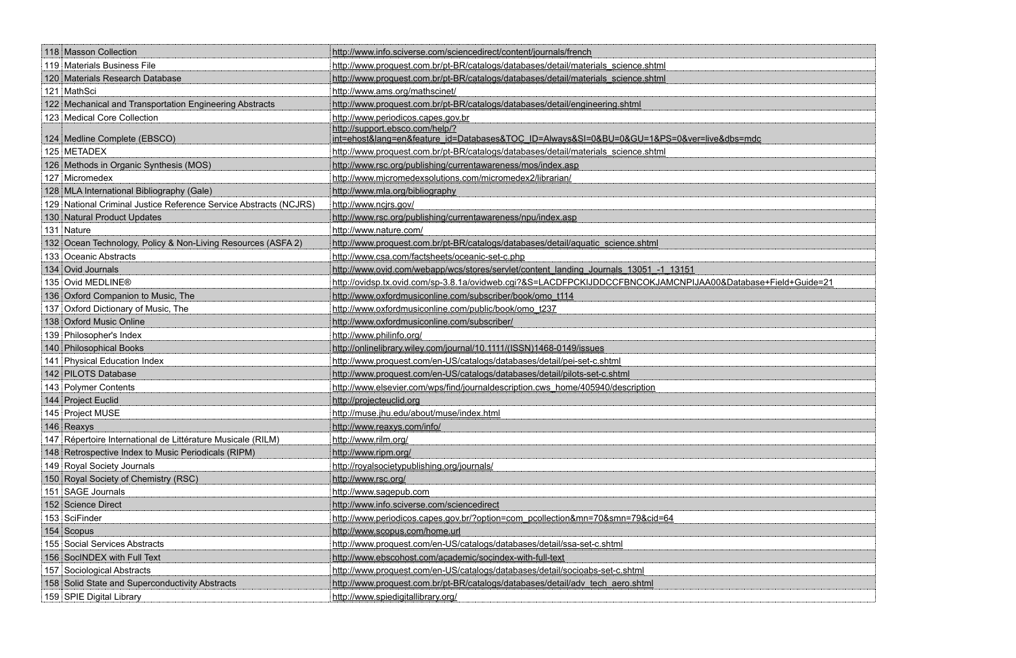| 118 Masson Collection                                             | http://www.info.sciverse.com/sciencedirect/content/journals/french                                          |
|-------------------------------------------------------------------|-------------------------------------------------------------------------------------------------------------|
| 119 Materials Business File                                       | http://www.proquest.com.br/pt-BR/catalogs/databases/detail/materials_science.shtml                          |
| 120 Materials Research Database                                   | http://www.proquest.com.br/pt-BR/catalogs/databases/detail/materials_science.shtml                          |
| 121 MathSci                                                       | http://www.ams.org/mathscinet/                                                                              |
| 122 Mechanical and Transportation Engineering Abstracts           | http://www.proquest.com.br/pt-BR/catalogs/databases/detail/engineering.shtml                                |
| 123 Medical Core Collection                                       | http://www.periodicos.capes.gov.br                                                                          |
|                                                                   | http://support.ebsco.com/help/?                                                                             |
| 124 Medline Complete (EBSCO)                                      | int=ehost⟨=en&feature_id=Databases&TOC_ID=Always&SI=0&BU=0&GU=1&PS=0&ver=live&dbs=mdc                       |
| 125 METADEX                                                       | http://www.proquest.com.br/pt-BR/catalogs/databases/detail/materials_science.shtml                          |
| 126 Methods in Organic Synthesis (MOS)                            | http://www.rsc.org/publishing/currentawareness/mos/index.asp                                                |
| 127 Micromedex                                                    | http://www.micromedexsolutions.com/micromedex2/librarian/                                                   |
| 128 MLA International Bibliography (Gale)                         | http://www.mla.org/bibliography                                                                             |
| 129 National Criminal Justice Reference Service Abstracts (NCJRS) | http://www.ncjrs.gov/                                                                                       |
| 130 Natural Product Updates                                       | http://www.rsc.org/publishing/currentawareness/npu/index.asp                                                |
| 131 Nature                                                        | http://www.nature.com/                                                                                      |
| 132 Ocean Technology, Policy & Non-Living Resources (ASFA 2)      | http://www.proquest.com.br/pt-BR/catalogs/databases/detail/aquatic_science.shtml                            |
| 133 Oceanic Abstracts                                             | http://www.csa.com/factsheets/oceanic-set-c.php                                                             |
| 134 Ovid Journals                                                 | http://www.ovid.com/webapp/wcs/stores/servlet/content landing Journals 13051 -1 13151                       |
| 135 Ovid MEDLINE®                                                 | http://ovidsp.tx.ovid.com/sp-3.8.1a/ovidweb.cgi?&S=LACDFPCKIJDDCCFBNCOKJAMCNPIJAA00&Database+Field+Guide=21 |
| 136   Oxford Companion to Music, The                              | http://www.oxfordmusiconline.com/subscriber/book/omo_t114                                                   |
| 137 Oxford Dictionary of Music, The                               | http://www.oxfordmusiconline.com/public/book/omo_t237                                                       |
| 138 Oxford Music Online                                           | http://www.oxfordmusiconline.com/subscriber/                                                                |
| 139 Philosopher's Index                                           | http://www.philinfo.org/                                                                                    |
| 140 Philosophical Books                                           | http://onlinelibrary.wiley.com/journal/10.1111/(ISSN)1468-0149/issues                                       |
| 141 Physical Education Index                                      | http://www.proquest.com/en-US/catalogs/databases/detail/pei-set-c.shtml                                     |
| 142 PILOTS Database                                               | http://www.proquest.com/en-US/catalogs/databases/detail/pilots-set-c.shtml                                  |
| 143 Polymer Contents                                              | http://www.elsevier.com/wps/find/journaldescription.cws home/405940/description                             |
| 144 Project Euclid                                                | http://projecteuclid.org                                                                                    |
| 145 Project MUSE                                                  | http://muse.jhu.edu/about/muse/index.html                                                                   |
| 146 Reaxys                                                        | http://www.reaxys.com/info/                                                                                 |
| 147 Répertoire International de Littérature Musicale (RILM)       | http://www.rilm.org/                                                                                        |
| 148 Retrospective Index to Music Periodicals (RIPM)               | http://www.ripm.org/                                                                                        |
| 149 Royal Society Journals                                        | http://royalsocietypublishing.org/journals/                                                                 |
| 150 Royal Society of Chemistry (RSC)                              | http://www.rsc.org/                                                                                         |
| 151 SAGE Journals                                                 | http://www.sagepub.com                                                                                      |
| 152 Science Direct                                                | http://www.info.sciverse.com/sciencedirect                                                                  |
| 153 SciFinder                                                     | http://www.periodicos.capes.gov.br/?option=com_pcollection&mn=70&smn=79&cid=64                              |
| 154 Scopus                                                        | http://www.scopus.com/home.url                                                                              |
| 155 Social Services Abstracts                                     | http://www.proquest.com/en-US/catalogs/databases/detail/ssa-set-c.shtml                                     |
| 156 SocINDEX with Full Text                                       | http://www.ebscohost.com/academic/socindex-with-full-text                                                   |
| 157 Sociological Abstracts                                        | http://www.proquest.com/en-US/catalogs/databases/detail/socioabs-set-c.shtml                                |
| 158 Solid State and Superconductivity Abstracts                   | http://www.proquest.com.br/pt-BR/catalogs/databases/detail/adv_tech_aero.shtml                              |
| 159 SPIE Digital Library                                          | http://www.spiedigitallibrary.org/                                                                          |

| <u>ndc</u>          |                         |
|---------------------|-------------------------|
|                     |                         |
|                     |                         |
|                     |                         |
|                     |                         |
|                     |                         |
|                     |                         |
|                     |                         |
|                     |                         |
|                     |                         |
|                     |                         |
|                     |                         |
| base+Field+Guide=21 |                         |
|                     |                         |
|                     |                         |
|                     |                         |
|                     |                         |
|                     |                         |
|                     |                         |
|                     |                         |
|                     |                         |
|                     |                         |
|                     |                         |
|                     |                         |
|                     |                         |
|                     |                         |
|                     |                         |
|                     |                         |
|                     |                         |
|                     |                         |
|                     |                         |
|                     |                         |
|                     | 1                       |
|                     | j                       |
|                     |                         |
|                     |                         |
|                     |                         |
|                     |                         |
|                     | and manufacturers and a |
|                     |                         |
|                     |                         |